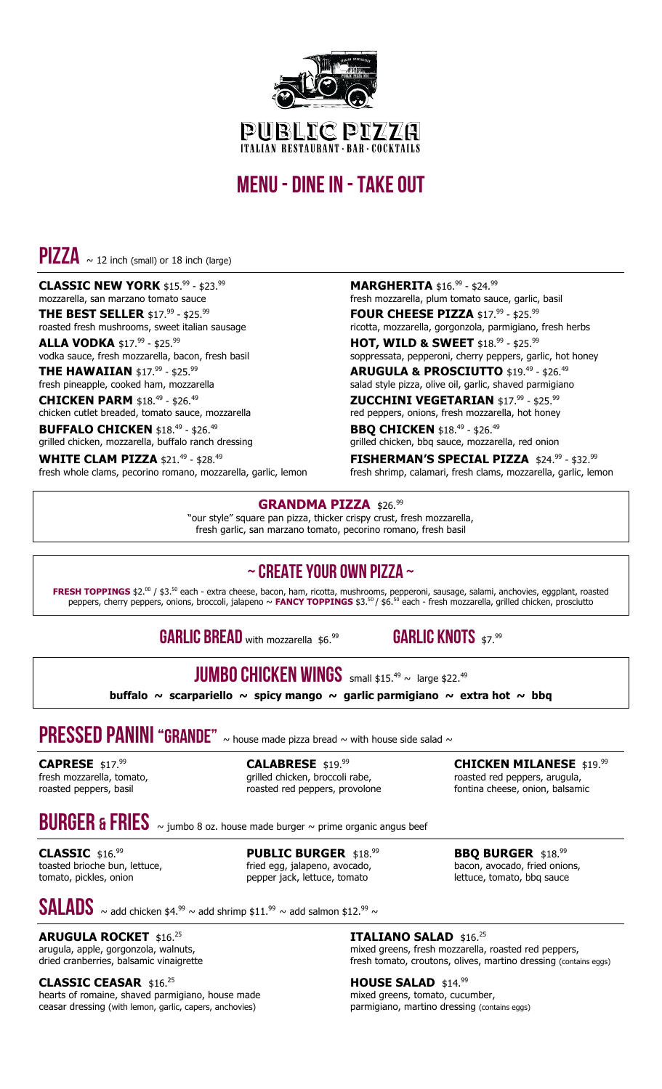

## menu - dine in -take out

 $PIZZA \sim 12$  inch (small) or 18 inch (large)

#### **CLASSIC NEW YORK** \$15.<sup>99</sup> - \$23.<sup>99</sup> mozzarella, san marzano tomato sauce

**THE BEST SELLER** \$17.<sup>99</sup> - \$25.<sup>99</sup> roasted fresh mushrooms, sweet italian sausage

**ALLA VODKA** \$17.<sup>99</sup> - \$25.<sup>99</sup> vodka sauce, fresh mozzarella, bacon, fresh basil

**THE HAWAIIAN** \$17.<sup>99</sup> - \$25.<sup>99</sup> fresh pineapple, cooked ham, mozzarella

**CHICKEN PARM** \$18.<sup>49</sup> - \$26.<sup>49</sup>

chicken cutlet breaded, tomato sauce, mozzarella **BUFFALO CHICKEN** \$18.<sup>49</sup> - \$26.<sup>49</sup> grilled chicken, mozzarella, buffalo ranch dressing

**WHITE CLAM PIZZA** \$21.<sup>49</sup> - \$28.<sup>49</sup> fresh whole clams, pecorino romano, mozzarella, garlic, lemon

#### **MARGHERITA** \$16.99 - \$24.99

fresh mozzarella, plum tomato sauce, garlic, basil **FOUR CHEESE PIZZA** \$17.<sup>99</sup> - \$25.<sup>99</sup>

ricotta, mozzarella, gorgonzola, parmigiano, fresh herbs **HOT, WILD & SWEET** \$18. <sup>99</sup> - \$25. 99

soppressata, pepperoni, cherry peppers, garlic, hot honey **ARUGULA & PROSCIUTTO** \$19. <sup>49</sup> - \$26. 49

salad style pizza, olive oil, garlic, shaved parmigiano **ZUCCHINI VEGETARIAN \$17.<sup>99</sup> - \$25.<sup>99</sup>** 

red peppers, onions, fresh mozzarella, hot honey **BBQ CHICKEN** \$18.<sup>49</sup> - \$26.<sup>49</sup>

grilled chicken, bbq sauce, mozzarella, red onion **FISHERMAN'S SPECIAL PIZZA** \$24.<sup>99</sup> - \$32.<sup>99</sup>

fresh shrimp, calamari, fresh clams, mozzarella, garlic, lemon

#### GRANDMA PIZZA \$26.99

"our style" square pan pizza, thicker crispy crust, fresh mozzarella, fresh garlic, san marzano tomato, pecorino romano, fresh basil

### $\sim$  CREATE YOUR OWN PIZZA  $\sim$

**FRESH TOPPINGS** \$2.<sup>00</sup> / \$3.<sup>50</sup> each - extra cheese, bacon, ham, ricotta, mushrooms, pepperoni, sausage, salami, anchovies, eggplant, roasted peppers, cherry peppers, onions, broccoli, jalapeno ~ **FANCY TOPPINGS** \$3. <sup>50</sup> / \$6. <sup>50</sup> each - fresh mozzarella, grilled chicken, prosciutto

GARLIC BREAD with mozzarella \$6.99

GARLIC KNOTS \$7.99

## **JUMBO CHICKEN WINGS** small \$15.<sup>49</sup>  $\sim$  large \$22.<sup>49</sup>

**buffalo ~ scarpariello ~ spicy mango ~ garlic parmigiano ~ extra hot ~ bbq**

# **PRESSED PANINI "GRANDE"**  $\sim$  house made pizza bread  $\sim$  with house side salad  $\sim$

**CAPRESE** \$17. 99 fresh mozzarella, tomato, roasted peppers, basil

**CALABRESE** \$19. 99 grilled chicken, broccoli rabe, roasted red peppers, provolone

**CHICKEN MILANESE** \$19. 99 roasted red peppers, arugula, fontina cheese, onion, balsamic

## BURGER & FRIES ~ jumbo 8 oz. house made burger ~ prime organic angus beef

**CLASSIC** \$16. 99 toasted brioche bun, lettuce, tomato, pickles, onion

**PUBLIC BURGER** \$18. 99 fried egg, jalapeno, avocado, pepper jack, lettuce, tomato

**BBQ BURGER** \$18.99 bacon, avocado, fried onions, lettuce, tomato, bbq sauce

 $\textbf{SALADS}\ \sim$  add chicken \$4.<sup>99</sup>  $\sim$  add shrimp \$11.<sup>99</sup>  $\sim$  add salmon \$12.<sup>99</sup>  $\sim$ 

**ARUGULA ROCKET** \$16. 25 arugula, apple, gorgonzola, walnuts, dried cranberries, balsamic vinaigrette

**CLASSIC CEASAR** \$16. 25

hearts of romaine, shaved parmigiano, house made ceasar dressing (with lemon, garlic, capers, anchovies)

**ITALIANO SALAD** \$16. 25 mixed greens, fresh mozzarella, roasted red peppers, fresh tomato, croutons, olives, martino dressing (contains eggs)

**HOUSE SALAD** \$14.99 mixed greens, tomato, cucumber, parmigiano, martino dressing (contains eggs)